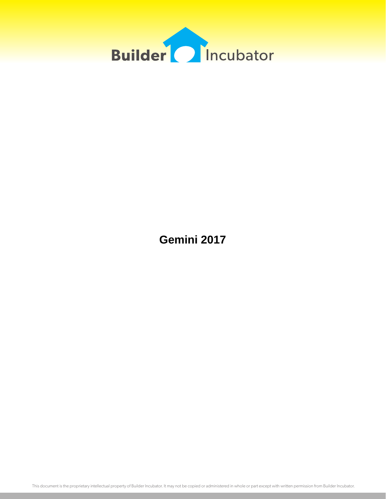

**Gemini 2017**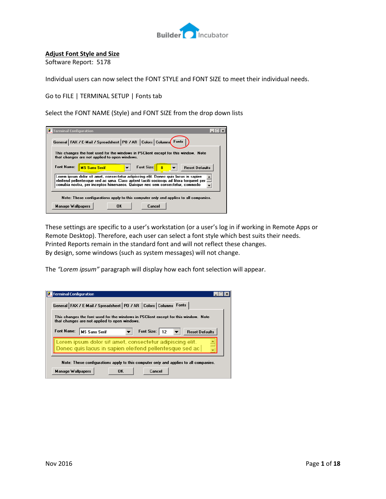

# **Adjust Font Style and Size**

Software Report: 5178

Individual users can now select the FONT STYLE and FONT SIZE to meet their individual needs.

Go to FILE | TERMINAL SETUP | Fonts tab

Select the FONT NAME (Style) and FONT SIZE from the drop down lists

| <b>W</b> Terminal Configuration                                                                                                                                                                                                                               |
|---------------------------------------------------------------------------------------------------------------------------------------------------------------------------------------------------------------------------------------------------------------|
| General   FAX / E-Mail / Spreadsheet   PO / AR   Colors   Columns   Fonts                                                                                                                                                                                     |
| This changes the font used for the windows in PSClient except for this window. Note<br>that changes are not applied to open windows.                                                                                                                          |
| Font Name:<br><b>Font Size:</b><br><b>MS Sans Serif</b><br><b>Reset Defaults</b>                                                                                                                                                                              |
| Lorem ipsum dolor sit amet, consectetur adipiscing elit. Donec quis lacus in sapien<br>eleifend pellentesque sed ac urna. Class aptent taciti sociosqu ad litora torquent per<br>conubia nostra, per inceptos himenaeos. Quisque nec sem consectetur, commodo |
| Note: These configurations apply to this computer only and applies to all companies.                                                                                                                                                                          |
| <b>Manage Wallpapers</b><br>OK<br>Cancel                                                                                                                                                                                                                      |

These settings are specific to a user's workstation (or a user's log in if working in Remote Apps or Remote Desktop). Therefore, each user can select a font style which best suits their needs. Printed Reports remain in the standard font and will not reflect these changes. By design, some windows (such as system messages) will not change.

The *"Lorem ipsum"* paragraph will display how each font selection will appear.

| <b>Terminal Configuration</b> | General   FAX / E-Mail / Spreadsheet   PO / AR   Colors   Columns Fonts                                                              |           |                 |                       |  |
|-------------------------------|--------------------------------------------------------------------------------------------------------------------------------------|-----------|-----------------|-----------------------|--|
|                               | This changes the font used for the windows in PSClient except for this window. Note<br>that changes are not applied to open windows. |           |                 |                       |  |
| <b>Font Name:</b>             | <b>MS Sans Serif</b>                                                                                                                 |           | Font Size:   12 | <b>Reset Defaults</b> |  |
|                               | Lorem ipsum dolor sit amet, consectetur adipiscing elit.<br>Donec quis lacus in sapien eleifend pellentesque sed ac                  |           |                 |                       |  |
|                               | Note: These configurations apply to this computer only and applies to all companies.                                                 |           |                 |                       |  |
| <b>Manage Wallpapers</b>      |                                                                                                                                      | <b>OK</b> | Cancel          |                       |  |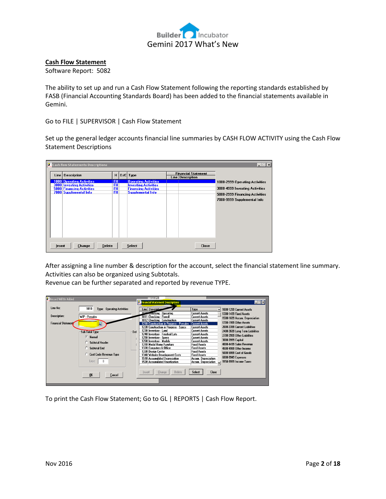

#### **Cash Flow Statement**

Software Report: 5082

The ability to set up and run a Cash Flow Statement following the reporting standards established by FASB (Financial Accounting Standards Board) has been added to the financial statements available in Gemini.

Go to FILE | SUPERVISOR | Cash Flow Statement

Set up the general ledger accounts financial line summaries by CASH FLOW ACTIVITY using the Cash Flow Statement Descriptions

| <b>Cash flow Statements Descriptions</b>                                                                                    |                                            |                                                                                                                       |                                                | $ .\ $ $  \times  $                                                                                                               |
|-----------------------------------------------------------------------------------------------------------------------------|--------------------------------------------|-----------------------------------------------------------------------------------------------------------------------|------------------------------------------------|-----------------------------------------------------------------------------------------------------------------------------------|
| Line   Description                                                                                                          | н                                          | D/C Type                                                                                                              | <b>Financial Statement</b><br>Line Description |                                                                                                                                   |
| 1000 Operating Activities<br><b>3000 Investing Activities</b><br><b>5000 Financing Activities</b><br>7000 Supplemental Info | FH.<br><b>FH</b><br><b>FH</b><br><b>FH</b> | <b>Operating Activities</b><br><b>Investing Activities</b><br><b>Financing Activities</b><br><b>Supplemental Info</b> |                                                | 1000-2999 Operating Activities<br>3000-4999 Investing Activities<br>5000-2999 Financing Activities<br>7000-9999 Supplemental Info |
| Change<br><b>Delete</b><br>Insert                                                                                           |                                            | Select                                                                                                                | <b>Close</b>                                   |                                                                                                                                   |

After assigning a line number & description for the account, select the financial statement line summary. Activities can also be organized using Subtotals.

Revenue can be further separated and reported by revenue TYPE.

| Record Will Be Added |                                    |      | E                                                              |                                                |                                 |
|----------------------|------------------------------------|------|----------------------------------------------------------------|------------------------------------------------|---------------------------------|
|                      |                                    |      | <b>Ex Financial Statement Descriptions</b>                     |                                                | $\Box$                          |
| Line No:             |                                    |      |                                                                |                                                |                                 |
|                      | 1010<br>Type: Operating Activities |      | Line   Descripties                                             | Type                                           | 1000-1299 Current Assets        |
|                      |                                    |      | 1010 checking - Operating                                      | Current Assets                                 | 1300-1499 Fixed Assets          |
| <b>Description:</b>  | WIP - Presales                     |      | 1011 Checking - Payroll                                        | <b>Current Assets</b>                          | 1500-1699 Accum, Depreciation   |
| Financial Statemen   |                                    |      | 1012 Checking - Construction                                   | <b>Current Assets</b>                          | 1700-1999 Other Assets          |
|                      | Р.                                 |      | 1210 Construction in Progress - Presales                       | <b>Current Assets</b><br><b>Current Assets</b> | 2000-2399 Current Liabilities   |
|                      |                                    |      | 1220 Construction in Progress - Specs<br>1230 Inventory - Land | <b>Current Assets</b>                          |                                 |
|                      | Sub Total Type                     | -Det | 1240 Inventory - Finished Lots                                 | <b>Current Assets</b>                          | 2400-2699 Long Term Liabilities |
|                      | <b>6</b> Normal                    |      | 1250 Inventory - Specs                                         | <b>Current Assets</b>                          | 2700-2999 Other Liabilities     |
|                      |                                    |      | 1260 Inventory - Models                                        | <b>Current Assets</b>                          | 3000-3999 Capital               |
|                      | <b>C</b> Subtotal Header           |      | 1310 Model Home Furniture                                      | <b>Fixed Assets</b>                            | 4000-4499 Sales Revenue         |
|                      | Subtotal End                       |      | 1320 Computers & Office                                        | <b>Fixed Assets</b>                            | 4500-4999 Other Income          |
|                      |                                    |      | 1330 Desian Center                                             | <b>Fixed Assets</b>                            | 5000-5999 Cost of Goods         |
|                      | <b>C</b> Cost Code Revenue Type    |      | 1340 Website Development Costs                                 | <b>Fixed Assets</b>                            |                                 |
|                      |                                    |      | 1510 Accumulated Depreciation                                  | Accum. Depreciation                            | 6000-9949 Expenses              |
|                      | Type:                              |      | 1520 Accumulated Amortization                                  | Accum. Depreciation                            | 9950-9999 Income Taxes          |
|                      |                                    |      |                                                                |                                                |                                 |
|                      |                                    |      |                                                                |                                                |                                 |
|                      | 0K<br>Cancel                       |      | Change<br>Delete<br>Insert                                     | Select<br>Close                                |                                 |
|                      |                                    |      |                                                                |                                                |                                 |
|                      |                                    |      |                                                                |                                                |                                 |
|                      |                                    |      |                                                                |                                                |                                 |

To print the Cash Flow Statement; Go to GL | REPORTS | Cash Flow Report.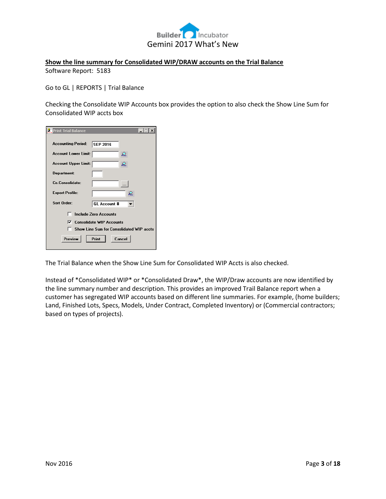

### **Show the line summary for Consolidated WIP/DRAW accounts on the Trial Balance** Software Report: 5183

Go to GL | REPORTS | Trial Balance

Checking the Consolidate WIP Accounts box provides the option to also check the Show Line Sum for Consolidated WIP accts box

| <b>A</b> Print Trial Balance | $\Box$                                   |
|------------------------------|------------------------------------------|
| <b>Accounting Period:</b>    | <b>SEP 2016</b>                          |
| Account Lower Limit:         | ₽.                                       |
| Account Upper Limit:         | ₽                                        |
| Department:                  |                                          |
| Co Consolidate:              |                                          |
| <b>Export Profile:</b>       | ₽                                        |
| Sort Order:                  | <b>GL Account #</b>                      |
|                              | <b>Include Zero Accounts</b>             |
| ⊽                            | <b>Consolidate WIP Accounts</b>          |
|                              | Show Line Sum for Consolidated WIP accts |
| Preview                      | Print<br>Cancel                          |

The Trial Balance when the Show Line Sum for Consolidated WIP Accts is also checked.

Instead of \*Consolidated WIP\* or \*Consolidated Draw\*, the WIP/Draw accounts are now identified by the line summary number and description. This provides an improved Trail Balance report when a customer has segregated WIP accounts based on different line summaries. For example, (home builders; Land, Finished Lots, Specs, Models, Under Contract, Completed Inventory) or (Commercial contractors; based on types of projects).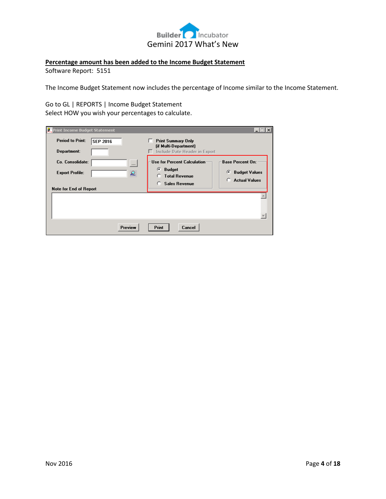

# **Percentage amount has been added to the Income Budget Statement**

Software Report: 5151

The Income Budget Statement now includes the percentage of Income similar to the Income Statement.

Go to GL | REPORTS | Income Budget Statement Select HOW you wish your percentages to calculate.

| <b>W</b> Print Income Budget Statement                                                        |                                                                                                               | $  \Box   \Box   \times$                                                          |
|-----------------------------------------------------------------------------------------------|---------------------------------------------------------------------------------------------------------------|-----------------------------------------------------------------------------------|
| <b>Period to Print:</b><br><b>SEP 2016</b><br>Department:                                     | <b>Print Summary Only</b><br>(if Multi-Department)<br>Include Date Header in Export                           |                                                                                   |
| Co. Consolidate:<br>$\cdots$<br><b>Export Profile:</b><br>£.<br><b>Note for End of Report</b> | <b>Use for Percent Calculation</b><br>œ<br><b>Budget</b><br><b>Total Revenue</b><br>n<br><b>Sales Revenue</b> | <b>Base Percent On:</b><br>G<br><b>Budget Values</b><br><b>Actual Values</b><br>o |
| Preview                                                                                       | Print<br>Cancel                                                                                               |                                                                                   |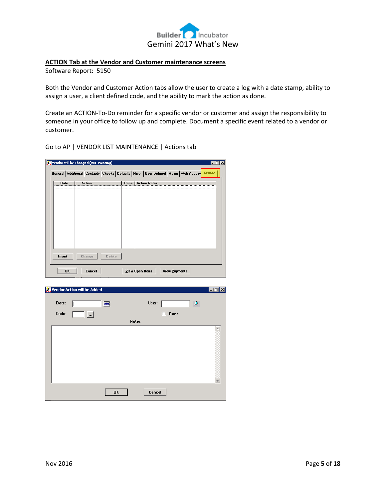

# **ACTION Tab at the Vendor and Customer maintenance screens**

Software Report: 5150

Both the Vendor and Customer Action tabs allow the user to create a log with a date stamp, ability to assign a user, a client defined code, and the ability to mark the action as done.

Create an ACTION-To-Do reminder for a specific vendor or customer and assign the responsibility to someone in your office to follow up and complete. Document a specific event related to a vendor or customer.

Go to AP | VENDOR LIST MAINTENANCE | Actions tab

| General   Additional   Contacts   Checks   Defaults   Misc   User Defined   Memo   Web Access   Actions<br><b>Date</b><br>Done   Action Notes<br>Action<br>Insert<br>Change<br>Delete<br>OK<br>Cancel<br>View Open Items<br>View Payments<br><b>Vendor Action will be Added</b><br>– I⊡I ×I<br>Date:<br>User:<br>உ<br>圖<br>Code:<br>Done<br>$\ldots$<br><b>Notes</b><br>$\blacktriangle$ | LC. | Vendor will be Changed (ABC Painting) |              | $\blacksquare$ $\blacksquare$ $\times$ |
|------------------------------------------------------------------------------------------------------------------------------------------------------------------------------------------------------------------------------------------------------------------------------------------------------------------------------------------------------------------------------------------|-----|---------------------------------------|--------------|----------------------------------------|
|                                                                                                                                                                                                                                                                                                                                                                                          |     |                                       |              |                                        |
|                                                                                                                                                                                                                                                                                                                                                                                          |     |                                       |              |                                        |
|                                                                                                                                                                                                                                                                                                                                                                                          |     |                                       |              |                                        |
|                                                                                                                                                                                                                                                                                                                                                                                          |     |                                       |              |                                        |
|                                                                                                                                                                                                                                                                                                                                                                                          |     |                                       |              |                                        |
|                                                                                                                                                                                                                                                                                                                                                                                          |     |                                       |              |                                        |
|                                                                                                                                                                                                                                                                                                                                                                                          |     |                                       |              |                                        |
|                                                                                                                                                                                                                                                                                                                                                                                          |     |                                       |              |                                        |
|                                                                                                                                                                                                                                                                                                                                                                                          |     |                                       |              |                                        |
|                                                                                                                                                                                                                                                                                                                                                                                          |     |                                       |              |                                        |
|                                                                                                                                                                                                                                                                                                                                                                                          |     |                                       |              |                                        |
|                                                                                                                                                                                                                                                                                                                                                                                          |     |                                       |              |                                        |
|                                                                                                                                                                                                                                                                                                                                                                                          |     |                                       |              |                                        |
|                                                                                                                                                                                                                                                                                                                                                                                          |     |                                       |              |                                        |
|                                                                                                                                                                                                                                                                                                                                                                                          |     |                                       |              |                                        |
|                                                                                                                                                                                                                                                                                                                                                                                          |     |                                       |              |                                        |
|                                                                                                                                                                                                                                                                                                                                                                                          |     |                                       |              |                                        |
|                                                                                                                                                                                                                                                                                                                                                                                          |     |                                       |              |                                        |
|                                                                                                                                                                                                                                                                                                                                                                                          |     |                                       |              |                                        |
|                                                                                                                                                                                                                                                                                                                                                                                          |     |                                       |              |                                        |
|                                                                                                                                                                                                                                                                                                                                                                                          |     |                                       |              |                                        |
|                                                                                                                                                                                                                                                                                                                                                                                          |     |                                       |              |                                        |
|                                                                                                                                                                                                                                                                                                                                                                                          |     |                                       |              |                                        |
|                                                                                                                                                                                                                                                                                                                                                                                          |     |                                       |              |                                        |
|                                                                                                                                                                                                                                                                                                                                                                                          |     |                                       |              |                                        |
|                                                                                                                                                                                                                                                                                                                                                                                          |     |                                       | OK<br>Cancel |                                        |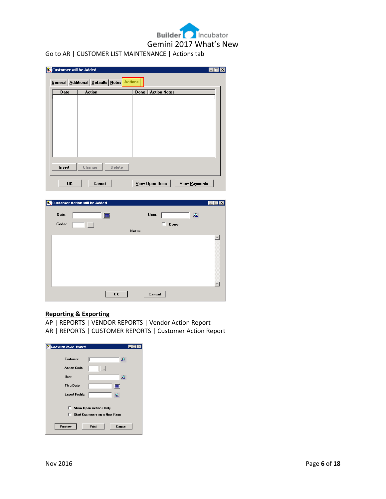# **Builder** Incubator Gemini 2017 What's New Go to AR | CUSTOMER LIST MAINTENANCE | Actions tab

| Insert<br>Change                     | $D$ elete |                 |            |                                        |
|--------------------------------------|-----------|-----------------|------------|----------------------------------------|
| <b>OK</b>                            | Cancel    | View Open Items |            | View Payments                          |
|                                      |           |                 |            |                                        |
| <b>Customer Action will be Added</b> |           |                 |            | $\blacksquare$ $\blacksquare$ $\times$ |
| Date:                                | 圖         |                 | User:      | ₽                                      |
| Code:<br>$\cdots$                    |           | <b>Notes</b>    | Done<br>п. |                                        |
|                                      |           |                 |            |                                        |
|                                      |           |                 |            |                                        |
|                                      |           |                 |            |                                        |

#### **Reporting & Exporting**

- AP | REPORTS | VENDOR REPORTS | Vendor Action Report
- AR | REPORTS | CUSTOMER REPORTS | Customer Action Report

| <b>Customer Action Report</b> |                                                                       |
|-------------------------------|-----------------------------------------------------------------------|
| Customer:                     | உ                                                                     |
| <b>Action Code:</b>           |                                                                       |
| User:                         | ℒ                                                                     |
| Thru Date:                    | iii                                                                   |
| <b>Export Profile:</b>        | ₽                                                                     |
|                               | <b>Show Open Actions Only</b><br><b>Start Customers on a New Page</b> |
| Preview                       | Print<br>Cancel                                                       |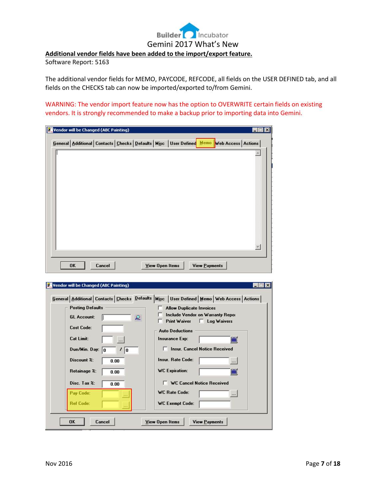# **Builder** Incubator Gemini 2017 What's New

**Additional vendor fields have been added to the import/export feature.**

Software Report: 5163

The additional vendor fields for MEMO, PAYCODE, REFCODE, all fields on the USER DEFINED tab, and all fields on the CHECKS tab can now be imported/exported to/from Gemini.

WARNING: The vendor import feature now has the option to OVERWRITE certain fields on existing vendors. It is strongly recommended to make a backup prior to importing data into Gemini.

| Vendor will be Changed (ABC Painting)                                                                            |        |  |                 |  |               | $-1$ $-1$ | lx |
|------------------------------------------------------------------------------------------------------------------|--------|--|-----------------|--|---------------|-----------|----|
| General   Additional   Contacts   Checks   Defaults   M <u>i</u> sc   User Defined   Memo   Web Access   Actions |        |  |                 |  |               |           |    |
|                                                                                                                  |        |  |                 |  |               |           |    |
|                                                                                                                  |        |  |                 |  |               |           |    |
|                                                                                                                  |        |  |                 |  |               |           |    |
|                                                                                                                  |        |  |                 |  |               |           |    |
|                                                                                                                  |        |  |                 |  |               |           |    |
|                                                                                                                  |        |  |                 |  |               |           |    |
|                                                                                                                  |        |  |                 |  |               |           |    |
|                                                                                                                  |        |  |                 |  |               |           |    |
|                                                                                                                  |        |  |                 |  |               |           |    |
|                                                                                                                  |        |  |                 |  |               |           |    |
|                                                                                                                  |        |  |                 |  |               |           |    |
|                                                                                                                  |        |  |                 |  |               |           |    |
|                                                                                                                  |        |  |                 |  |               |           |    |
|                                                                                                                  |        |  |                 |  |               |           |    |
|                                                                                                                  |        |  |                 |  |               |           |    |
| 0K                                                                                                               | Cancel |  | View Open Items |  | View Payments |           |    |

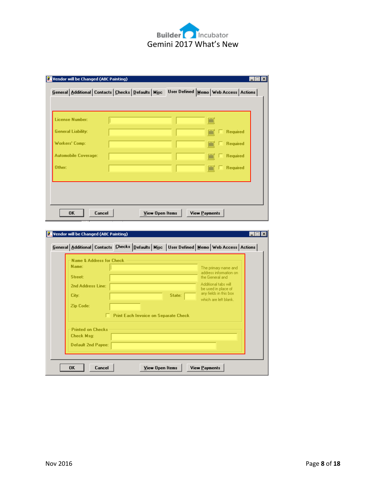

| <b>License Number:</b>      |  | ■ |                 |
|-----------------------------|--|---|-----------------|
| <b>General Liability:</b>   |  |   | <b>Required</b> |
| Workers' Comp:              |  |   | <b>Required</b> |
| <b>Automobile Coverage:</b> |  | H | <b>Required</b> |
| Other:                      |  |   | <b>Required</b> |
|                             |  |   |                 |

| Name & Address for Check  |  |                                             |        |  |                                               |  |
|---------------------------|--|---------------------------------------------|--------|--|-----------------------------------------------|--|
| Name:                     |  |                                             |        |  | The primary name and                          |  |
| Street:                   |  |                                             |        |  | address information on<br>the General and     |  |
| 2nd Address Line:         |  |                                             |        |  | Additional tabs will                          |  |
|                           |  |                                             |        |  | be used in place of<br>any fields in this box |  |
| City:                     |  |                                             | State: |  | which are left blank.                         |  |
| Zip Code:                 |  |                                             |        |  |                                               |  |
|                           |  | <b>Print Each Invoice on Separate Check</b> |        |  |                                               |  |
| <b>Printed on Checks</b>  |  |                                             |        |  |                                               |  |
| <b>Check Msg:</b>         |  |                                             |        |  |                                               |  |
| <b>Default 2nd Payee:</b> |  |                                             |        |  |                                               |  |
|                           |  |                                             |        |  |                                               |  |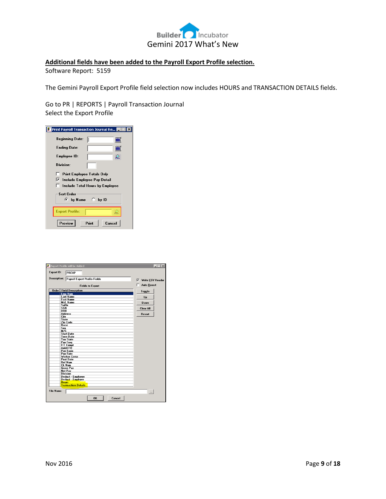

# **Additional fields have been added to the Payroll Export Profile selection.**

Software Report: 5159

The Gemini Payroll Export Profile field selection now includes HOURS and TRANSACTION DETAILS fields.

Go to PR | REPORTS | Payroll Transaction Journal Select the Export Profile

| Print Payroll Transaction Journal Re |                                 |   |
|--------------------------------------|---------------------------------|---|
| <b>Beginning Date:</b>               |                                 |   |
| <b>Ending Date:</b>                  |                                 |   |
| Employee ID:                         |                                 | ₽ |
| Division:                            |                                 |   |
| <b>Print Employee Totals Only</b>    |                                 |   |
| ⊽                                    | Include Employee Pay Detail     |   |
|                                      | Include Total Hours by Employee |   |
| <b>Sort Order</b><br>G.              | by Name $C$ by ID               |   |
| <b>Export Profile:</b>               |                                 |   |
| Preview                              | Print<br>Cancel                 |   |

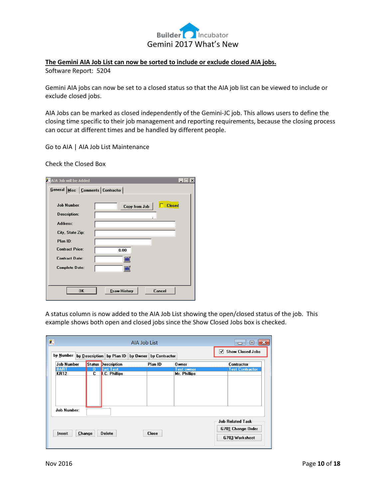

# **The Gemini AIA Job List can now be sorted to include or exclude closed AIA jobs.**

Software Report: 5204

Gemini AIA jobs can now be set to a closed status so that the AIA job list can be viewed to include or exclude closed jobs.

AIA Jobs can be marked as closed independently of the Gemini-JC job. This allows users to define the closing time specific to their job management and reporting requirements, because the closing process can occur at different times and be handled by different people.

Go to AIA | AIA Job List Maintenance

Check the Closed Box

| AIA Job will be Added                | $-1\Box$<br>$\vert x \vert$    |
|--------------------------------------|--------------------------------|
| General Misc   Comments   Contractor |                                |
|                                      |                                |
| <b>Job Number:</b>                   | <b>Closed</b><br>Copy from Job |
| <b>Description:</b>                  |                                |
| Address:                             |                                |
| City, State Zip:                     |                                |
| Plan ID:                             |                                |
| <b>Contract Price:</b>               | 0.00                           |
| <b>Contract Date:</b>                |                                |
| Complete Date:                       | 圖                              |
|                                      |                                |
| <b>OK</b>                            | Cancel<br>Draw History         |

A status column is now added to the AIA Job List showing the open/closed status of the job. This example shows both open and closed jobs since the Show Closed Jobs box is checked.

| 钃                                         |                                                  |                                  | AIA Job List |              |                                   | $\Box$                                                         |
|-------------------------------------------|--------------------------------------------------|----------------------------------|--------------|--------------|-----------------------------------|----------------------------------------------------------------|
| by Number                                 | by Description by Plan ID by Owner by Contractor |                                  |              |              |                                   | <b>Show Closed Jobs</b><br>ᢦ                                   |
| <b>Job Number</b>                         |                                                  | <b>Status Description</b>        |              | Plan ID      | <b>Owner</b>                      | Contractor                                                     |
| <b>BART</b><br>KR12<br><b>Job Number:</b> | ΰ<br>C                                           | <b>Bart Test</b><br>.C. Phillips |              |              | <b>Test owner</b><br>Mr. Phillips | <b>Test Contractor</b>                                         |
| Insert                                    | Change                                           | <b>Delete</b>                    |              | <b>Close</b> |                                   | <b>Job Related Task</b><br>G701 Change Order<br>G703 Worksheet |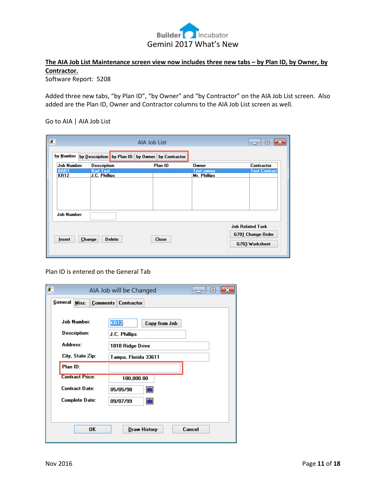

# The AIA Job List Maintenance screen view now includes three new tabs - by Plan ID, by Owner, by **Contractor.**

Software Report: 5208

Added three new tabs, "by Plan ID", "by Owner" and "by Contractor" on the AIA Job List screen. Also added are the Plan ID, Owner and Contractor columns to the AIA Job List screen as well.

### Go to AIA | AIA Job List

| 鸗                   |                                   | AIA Job List                                     |                                   | $\vert$ o $\vert$<br>a 1                                       |
|---------------------|-----------------------------------|--------------------------------------------------|-----------------------------------|----------------------------------------------------------------|
| by Number           |                                   | by Description by Plan ID by Owner by Contractor |                                   |                                                                |
| <b>Job Number</b>   | <b>Description</b>                | Plan ID                                          | <b>Owner</b>                      | Contractor                                                     |
| <b>BART</b><br>KR12 | <b>Bart Test</b><br>J.C. Phillips |                                                  | <b>Test owner</b><br>Mr. Phillips | <b>Test Contract</b>                                           |
| <b>Job Number:</b>  |                                   |                                                  |                                   |                                                                |
| Insert              | Change<br>Delete                  | <b>Close</b>                                     |                                   | <b>Job Related Task</b><br>G701 Change Order<br>G703 Worksheet |

Plan ID is entered on the General Tab

| $\frac{1}{2}$ |                        | AIA Job will be Changed      | ⊡      |
|---------------|------------------------|------------------------------|--------|
|               | General<br><b>Misc</b> | Comments Contractor          |        |
|               |                        |                              |        |
|               | <b>Job Number:</b>     | <b>KR12</b><br>Copy from Job |        |
|               | <b>Description:</b>    | J.C. Phillips                |        |
|               | Address:               | 1010 Ridge Drive             |        |
|               | City, State Zip:       | Tampa, Florida 33611         |        |
|               | Plan ID:               |                              |        |
|               | <b>Contract Price:</b> | 100,000.00                   |        |
|               | <b>Contract Date:</b>  | ■<br>05/05/98                |        |
|               | Complete Date:         | ■<br>09/07/99                |        |
|               |                        |                              |        |
|               |                        |                              |        |
|               | 0K                     | <b>Draw History</b>          | Cancel |
|               |                        |                              |        |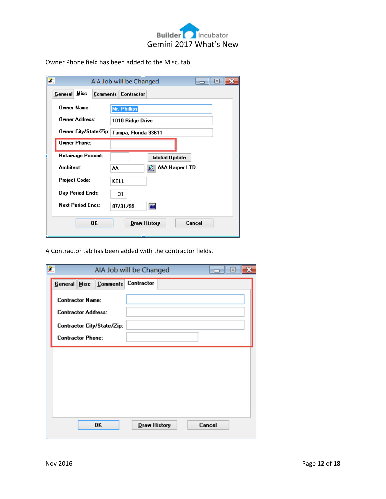

Owner Phone field has been added to the Misc. tab.

| 縹                        | AIA Job will be Changed<br><b>100 100 100 100</b> |
|--------------------------|---------------------------------------------------|
| General Misc             | <b>Comments Contractor</b>                        |
| Owner Name:              | Mr. Phillips                                      |
| <b>Owner Address:</b>    | 1010 Ridge Drive                                  |
|                          | Owner City/State/Zip:   Tampa, Florida 33611      |
| Owner Phone:             |                                                   |
| Retainage Percent:       | <b>Global Update</b>                              |
| Architect:               | A&A Harper LTD.<br>AA<br>₽.                       |
| <b>Project Code:</b>     | <b>KELL</b>                                       |
| Day Period Ends:         | 31                                                |
| <b>Next Period Ends:</b> | <b>in</b><br>07/31/99                             |
| <b>OK</b>                | Cancel<br><b>Draw History</b>                     |

A Contractor tab has been added with the contractor fields.

| 驫                          |                                  | AIA Job will be Changed |  | $\vert$ o $\vert$ |  |
|----------------------------|----------------------------------|-------------------------|--|-------------------|--|
|                            | General Misc Comments Contractor |                         |  |                   |  |
| <b>Contractor Name:</b>    |                                  |                         |  |                   |  |
| <b>Contractor Address:</b> |                                  |                         |  |                   |  |
|                            | Contractor City/State/Zip:       |                         |  |                   |  |
| <b>Contractor Phone:</b>   |                                  |                         |  |                   |  |
|                            |                                  |                         |  |                   |  |
|                            |                                  |                         |  |                   |  |
|                            |                                  |                         |  |                   |  |
|                            |                                  |                         |  |                   |  |
|                            |                                  |                         |  |                   |  |
|                            |                                  |                         |  |                   |  |
|                            | 0K                               | Draw History            |  | Cancel            |  |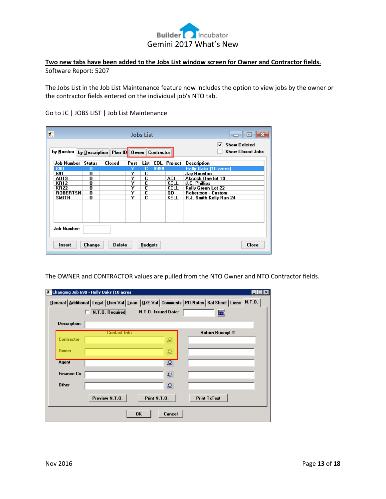

# **Two new tabs have been added to the Jobs List window screen for Owner and Contractor fields.** Software Report: 5207

The Jobs List in the Job List Maintenance feature now includes the option to view jobs by the owner or the contractor fields entered on the individual job's NTO tab.

 $\mathbf{x}$ 

| 飍                  |               |                              |      | <b>Jobs List</b> |                   |             | $\boldsymbol{\mathsf{x}}$<br>$\boxed{0}$            |
|--------------------|---------------|------------------------------|------|------------------|-------------------|-------------|-----------------------------------------------------|
| by Number          |               | by Description Plan ID Owner |      |                  | <b>Contractor</b> |             | <b>Show Deleted</b><br>✓<br><b>Show Closed Jobs</b> |
| <b>Job Number</b>  | <b>Status</b> | <b>Closed</b>                | Post | List             | COL               | Project     | <b>Description</b>                                  |
| 690                | 0             |                              | Y    | c                | 9999              |             | <b>Holly Oaks [10 acres]</b>                        |
| 691                | 0             |                              | Y    | C                |                   |             | Jay Houston                                         |
| A019               | 0             |                              | Y    | c                |                   | AC1         | Akcock One lot 19                                   |
| <b>KR12</b>        | 0             |                              | Y    | C                |                   | KELL        | J.C. Phillips                                       |
| <b>KR22</b>        | 0             |                              | Y    | C                |                   | KELL        | Kelly Green Lot 22                                  |
| <b>ROBERTSN</b>    | 0             |                              | Ÿ    | C                |                   | GO.         | <b>Robertson - Custom</b>                           |
| <b>SMITH</b>       | 0             |                              | Y    | C                |                   | <b>KELL</b> | R.J. Smith Kelly Run 24                             |
|                    |               |                              |      |                  |                   |             |                                                     |
| <b>Job Number:</b> |               |                              |      |                  |                   |             |                                                     |
| Insert             | Change        | <b>Delete</b>                |      | <b>Budgets</b>   |                   |             | <b>Close</b>                                        |

Go to JC | JOBS LIST | Job List Maintenance

The OWNER and CONTRACTOR values are pulled from the NTO Owner and NTO Contractor fields.

|                     | Changing Job 690 - Holly Oaks (10 acres |                     |                                                                                                             |  |
|---------------------|-----------------------------------------|---------------------|-------------------------------------------------------------------------------------------------------------|--|
|                     |                                         |                     | General   Additional   Legal   User Val   Loan   G/E Val   Comments   PO Notes   Bal Sheet   Liens   N.T.O. |  |
|                     | N.T.O. Required                         | N.T.O. Issued Date: | ■                                                                                                           |  |
| <b>Description:</b> |                                         |                     |                                                                                                             |  |
|                     | <b>Contact Info</b>                     |                     | <b>Return Receipt #</b>                                                                                     |  |
| <b>Contractor</b>   |                                         | ℒ                   |                                                                                                             |  |
| <b>Owner</b>        |                                         | ₽.                  |                                                                                                             |  |
| Agent               |                                         | ℒ                   |                                                                                                             |  |
| Finance Co.         |                                         | ₽.                  |                                                                                                             |  |
| <b>Other</b>        |                                         | ₽                   |                                                                                                             |  |
|                     | Preview N.T.O.                          | Print N.T.O.        | <b>Print TxText</b>                                                                                         |  |
|                     | <b>OK</b>                               | Cancel              |                                                                                                             |  |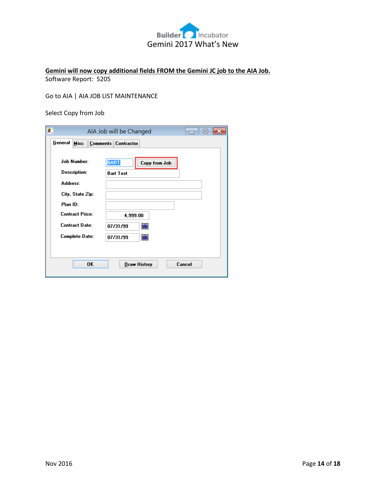

# **Gemini will now copy additional fields FROM the Gemini JC job to the AIA Job.**

Software Report: 5205

Go to AIA | AIA JOB LIST MAINTENANCE

Select Copy from Job

| $\frac{\partial \mathbf{m}}{\partial \mathbf{m}}$ |                                                 | AIA Job will be Changed      |        |
|---------------------------------------------------|-------------------------------------------------|------------------------------|--------|
| General                                           | <b>Misc</b>                                     | Comments Contractor          |        |
|                                                   | <b>Job Number:</b>                              | <b>BART</b><br>Copy from Job |        |
| Address:                                          | Description:                                    | <b>Bart Test</b>             |        |
| Plan ID:                                          | City, State Zip:                                |                              |        |
|                                                   | <b>Contract Price:</b><br><b>Contract Date:</b> | 4,999.00<br>■<br>07/31/99    |        |
|                                                   | Complete Date:                                  | ■<br>07/31/99                |        |
|                                                   | 0K                                              | <b>Draw History</b>          | Cancel |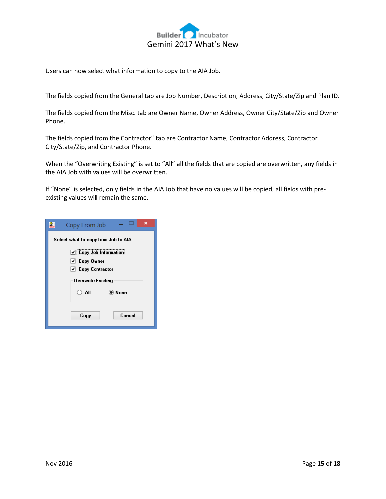

Users can now select what information to copy to the AIA Job.

The fields copied from the General tab are Job Number, Description, Address, City/State/Zip and Plan ID.

The fields copied from the Misc. tab are Owner Name, Owner Address, Owner City/State/Zip and Owner Phone.

The fields copied from the Contractor" tab are Contractor Name, Contractor Address, Contractor City/State/Zip, and Contractor Phone.

When the "Overwriting Existing" is set to "All" all the fields that are copied are overwritten, any fields in the AIA Job with values will be overwritten.

If "None" is selected, only fields in the AIA Job that have no values will be copied, all fields with preexisting values will remain the same.

| $\frac{\Omega}{\text{max}}$ | ×<br>Copy From Job                    |
|-----------------------------|---------------------------------------|
|                             | Select what to copy from Job to AIA   |
|                             | $\triangledown$ Copy Job Information  |
|                             | $\sqrt{C_{\rm ODV}C_{\rm Wnet}}$      |
|                             | $\blacktriangleright$ Copy Contractor |
|                             | <b>Overwrite Existing</b>             |
|                             | O All<br>(C) None                     |
|                             |                                       |
|                             | Cancel<br>Copy                        |
|                             |                                       |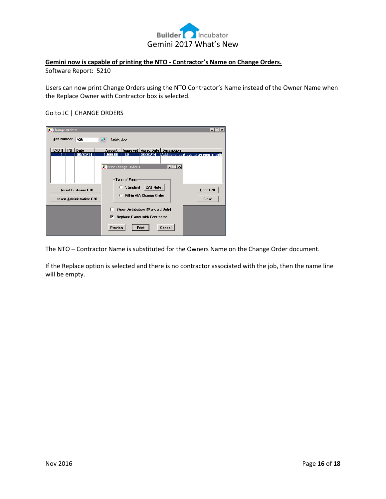

# **Gemini now is capable of printing the NTO - Contractor's Name on Change Orders.**

Software Report: 5210

Users can now print Change Orders using the NTO Contractor's Name instead of the Owner Name when the Replace Owner with Contractor box is selected.

#### Go to JC | CHANGE ORDERS

| Change Orders                                           |                             |                      |                                          |        | $\Box$                                   |
|---------------------------------------------------------|-----------------------------|----------------------|------------------------------------------|--------|------------------------------------------|
| Job Number: A25                                         | ₽.<br>Smith, Joe            |                      |                                          |        |                                          |
| $C/O$ #   $PO$   $Date$                                 | Amount                      |                      | Approved   Aprvd Date   Description      |        |                                          |
| 06/30/14<br>1                                           | 1,500.00                    | LB.                  | 06/30/14                                 |        | Additional cost due to an error in estin |
|                                                         | <b>Print Change Order 1</b> |                      |                                          | $\Box$ |                                          |
|                                                         |                             | Type of Form         |                                          |        |                                          |
| <b>Insert Customer C/O</b><br>Insert Administrative C/O | C                           | <b>Standard</b><br>Ю | C/O Notes<br>Fill-in AIA Change Order    |        | Print C/O<br><b>Close</b>                |
|                                                         |                             |                      | <b>Show Distribution (Standard Only)</b> |        |                                          |
|                                                         | ⊽                           |                      | Replace Owner with Contractor            |        |                                          |
|                                                         | Preview                     |                      | <b>Print</b>                             | Cancel |                                          |

The NTO – Contractor Name is substituted for the Owners Name on the Change Order document.

If the Replace option is selected and there is no contractor associated with the job, then the name line will be empty.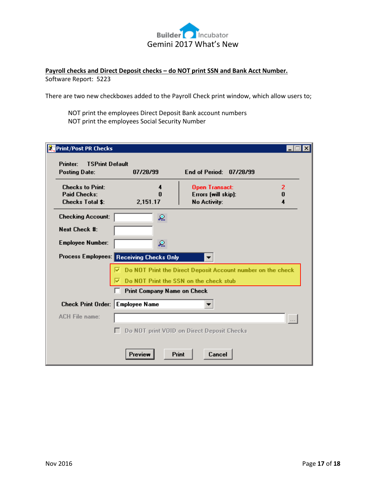

# **Payroll checks and Direct Deposit checks – do NOT print SSN and Bank Acct Number.** Software Report: 5223

There are two new checkboxes added to the Payroll Check print window, which allow users to;

NOT print the employees Direct Deposit Bank account numbers NOT print the employees Social Security Number

| <b>Posting Date:</b>                           | 07/28/99                                 | End of Period: 07/28/99                                     |   |  |  |  |  |  |  |  |
|------------------------------------------------|------------------------------------------|-------------------------------------------------------------|---|--|--|--|--|--|--|--|
| <b>Checks to Print:</b>                        | 4                                        | <b>Open Transact:</b>                                       | 2 |  |  |  |  |  |  |  |
| <b>Paid Checks:</b><br><b>Checks Total \$:</b> | N<br>2,151.17                            | Errors (will skip):<br><b>No Activity:</b>                  | 0 |  |  |  |  |  |  |  |
| <b>Checking Account:</b>                       | ℒ                                        |                                                             |   |  |  |  |  |  |  |  |
| Next Check #:                                  |                                          |                                                             |   |  |  |  |  |  |  |  |
| <b>Employee Number:</b>                        | ℒ                                        |                                                             |   |  |  |  |  |  |  |  |
|                                                | Process Employees: Receiving Checks Only |                                                             |   |  |  |  |  |  |  |  |
|                                                |                                          | Do NOT Print the Direct Deposit Account number on the check |   |  |  |  |  |  |  |  |
| Do NOT Print the SSN on the check stub         |                                          |                                                             |   |  |  |  |  |  |  |  |
| Print Company Name on Check                    |                                          |                                                             |   |  |  |  |  |  |  |  |
| Check Print Order: Employee Name               |                                          |                                                             |   |  |  |  |  |  |  |  |
| <b>ACH File name:</b>                          |                                          |                                                             |   |  |  |  |  |  |  |  |
|                                                |                                          | Do NOT print VOID on Direct Deposit Checks                  |   |  |  |  |  |  |  |  |